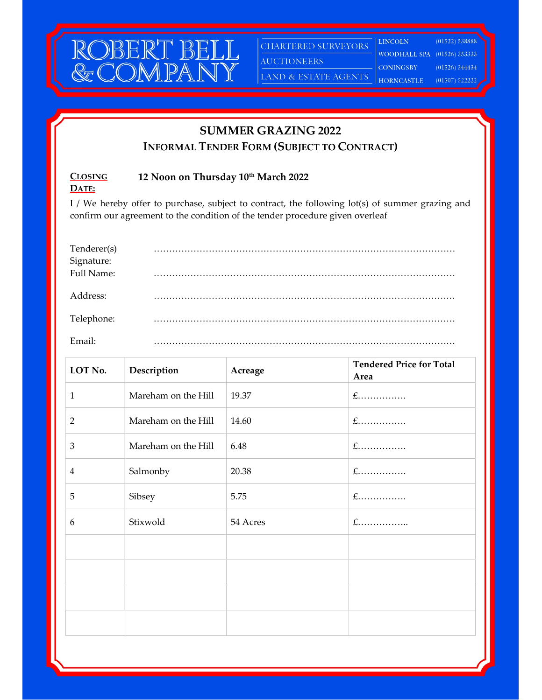

CHARTERED SURVEYORS

LAND & ESTATE AGENTS

**LINCOLN**  $(01522) 538888$ WOODHALL SPA (01526) 353333

AUCTIONEERS

**CONINGSBY**  $(01526)$  344434

**HORNCASTLE** 

 $(01507)$  522222

## SUMMER GRAZING 2022

INFORMAL TENDER FORM (SUBJECT TO CONTRACT)

## **CLOSING** DATE: 12 Noon on Thursday 10th March 2022

I / We hereby offer to purchase, subject to contract, the following lot(s) of summer grazing and confirm our agreement to the condition of the tender procedure given overleaf

| Tenderer(s)              | . |
|--------------------------|---|
| Signature:<br>Full Name: |   |
|                          |   |
|                          |   |
| Address:                 |   |
|                          |   |
| Telephone:               |   |
| Email:                   |   |

| LOT No.        | Description         | Acreage  | <b>Tendered Price for Total</b> |
|----------------|---------------------|----------|---------------------------------|
|                |                     |          | Area                            |
| $\mathbf{1}$   | Mareham on the Hill | 19.37    | $f$                             |
| $\overline{2}$ | Mareham on the Hill | 14.60    | $f$                             |
| 3              | Mareham on the Hill | 6.48     | $f$                             |
| $\overline{4}$ | Salmonby            | 20.38    | $f$                             |
| 5              | Sibsey              | 5.75     | $f$                             |
| 6              | Stixwold            | 54 Acres | $f$                             |
|                |                     |          |                                 |
|                |                     |          |                                 |
|                |                     |          |                                 |
|                |                     |          |                                 |